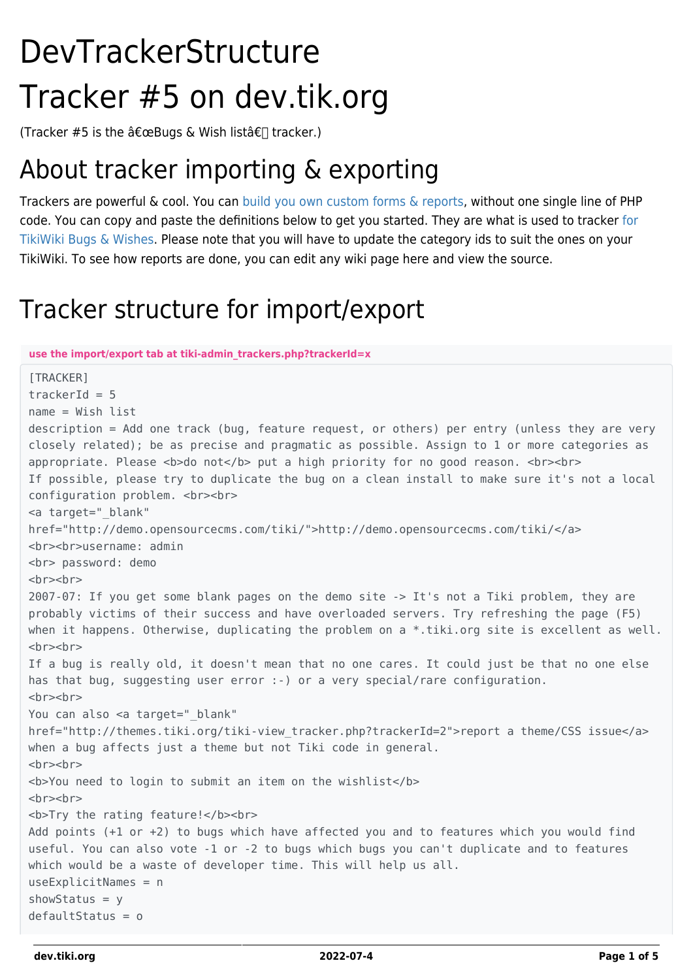## **DevTrackerStructure** Tracker #5 on dev.tik.org

(Tracker #5 is the  $\hat{a} \in \mathbb{R}$ Bugs & Wish list $\hat{a} \in \Box$  tracker.)

## About tracker importing & exporting

Trackers are powerful & cool. You can [build you own custom forms & reports](http://doc.tiki.org/tracker), without one single line of PHP code. You can copy and paste the definitions below to get you started. They are what is used to tracker [for](https://dev.tiki.org/tiki-view_tracker.php?trackerId=5) [TikiWiki Bugs & Wishes](https://dev.tiki.org/tiki-view_tracker.php?trackerId=5). Please note that you will have to update the category ids to suit the ones on your TikiWiki. To see how reports are done, you can edit any wiki page here and view the source.

## Tracker structure for import/export

```
use the import/export tab at tiki-admin_trackers.php?trackerId=x
[TRACKER]
traceId = 5name = Wish list
description = Add one track (bug, feature request, or others) per entry (unless they are very
closely related); be as precise and pragmatic as possible. Assign to 1 or more categories as
appropriate. Please <b>>>b>do not</b>></b> put a high priority for no good reason. <br>>br>>
If possible, please try to duplicate the bug on a clean install to make sure it's not a local
configuration problem. <br><br>
<a target="_blank"
href="http://demo.opensourcecms.com/tiki/">http://demo.opensourcecms.com/tiki/</a>
<br><br>username: admin
<br >> password: demo
<sub>br</sub><b>sh</b></sub>
2007-07: If you get some blank pages on the demo site -> It's not a Tiki problem, they are
probably victims of their success and have overloaded servers. Try refreshing the page (F5)
when it happens. Otherwise, duplicating the problem on a *.tiki.org site is excellent as well.
<hr><hr>
If a bug is really old, it doesn't mean that no one cares. It could just be that no one else
has that bug, suggesting user error :-) or a very special/rare configuration.
<hr> <hr>
You can also <a target=" blank"
href="http://themes.tiki.org/tiki-view_tracker.php?trackerId=2">report a theme/CSS issue</a>
when a bug affects just a theme but not Tiki code in general.
<sub>br</sub><b>sh</b></sub>
<b>You need to login to submit an item on the wishlist</b>
<hr><hr>
<b>Try the rating feature!</b><br>
Add points (+1 or +2) to bugs which have affected you and to features which you would find
useful. You can also vote -1 or -2 to bugs which bugs you can't duplicate and to features
which would be a waste of developer time. This will help us all.
useExplicitNames = n
showStatus = ydefaultStatus = o
```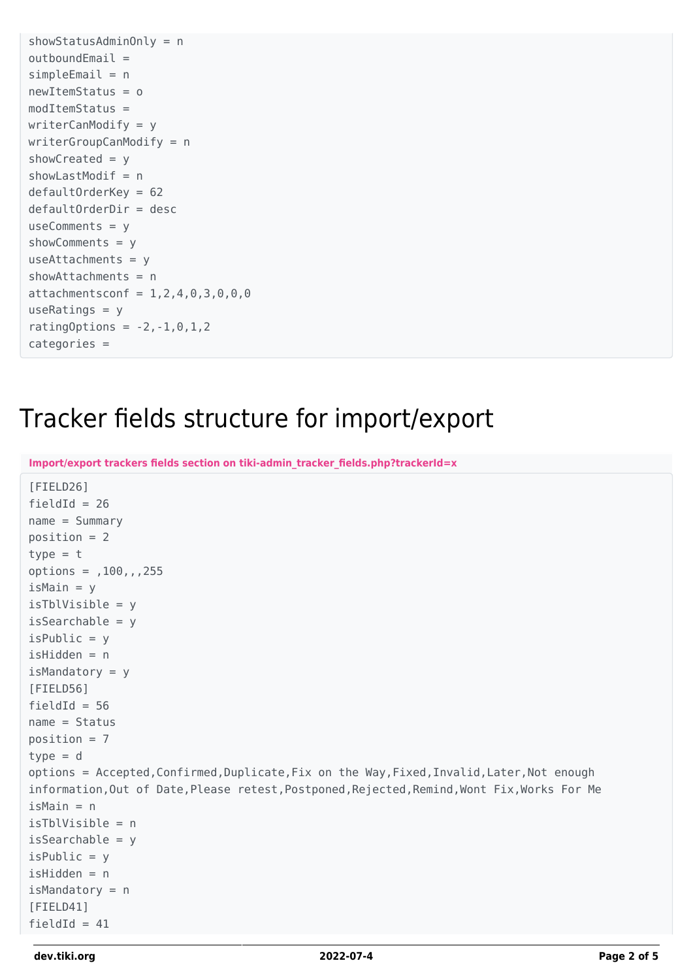```
showStatusAdminOnly = n
outboundEmail =simpleEmail = nnewItemStatus = o
modItemStatus =
writerCanModify = y
writerGroupCanModify = n
showCreated = yshowLastModif = n
defaultOrderKey = 62
defaultOrderDir = desc
useComments = vshowComments = y
useAttachments = yshowAttachments = n
attachmentsconf = 1, 2, 4, 0, 3, 0, 0, 0useRatings = yrating Options = -2, -1, 0, 1, 2
categories =
```
## Tracker fields structure for import/export

**Import/export trackers fields section on tiki-admin\_tracker\_fields.php?trackerId=x**

```
[FIELD26]
fieldId = 26name = Summarvposition = 2type = toptions = 100, 100isMain = visTblVisible = y
isSearchable = yisPublic = yisHidden = n
isMandatory = y
[FIELD56]
fieldId = 56name = Status
position = 7type = d
options = Accepted,Confirmed,Duplicate,Fix on the Way,Fixed,Invalid,Later,Not enough
information, Out of Date, Please retest, Postponed, Rejected, Remind, Wont Fix, Works For Me
isMain = n
isTblVisible = n
isSearchable = visPublic = yisHidden = n
isMandatory = n
[FIELD41]
fieldId = 41
```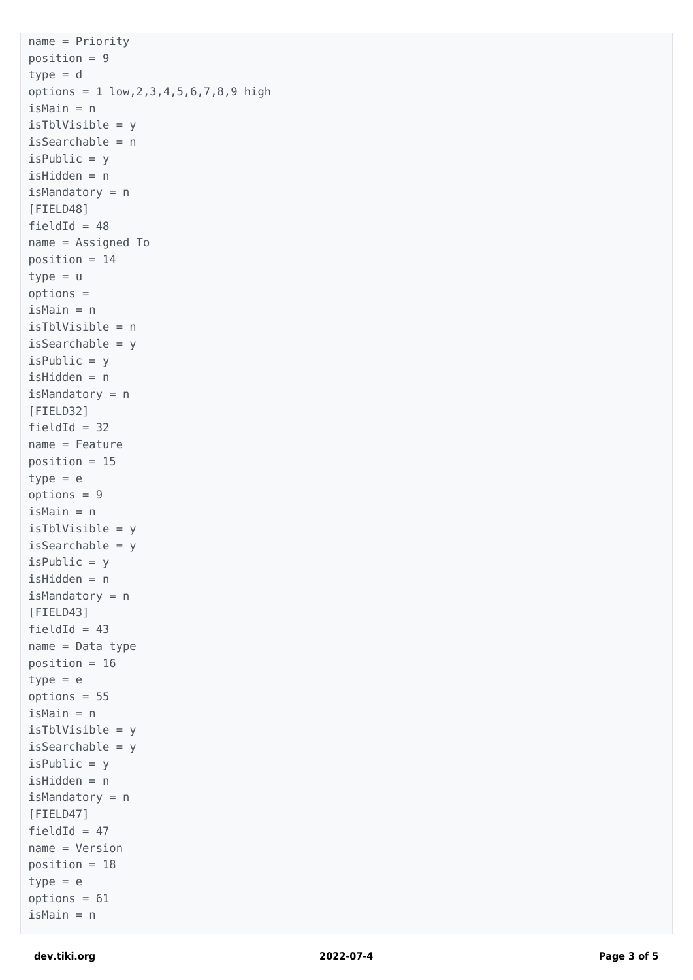```
name = Priority
position = 9type = d
options = 1 low,2,3,4,5,6,7,8,9 high
isMain = n
isTblVisible = y
isSearchable = n
isPublic = yisHidden = n
isMandatory = n
[FIELD48]
fieldId = 48name = Assigned To
position = 14type = uoptions =
isMain = n
isTblVisible = n
isSearchable = y
isPublic = yisHidden = n
isMandatory = n
[FIELD32]
fieldId = 32name = Feature
position = 15type = eoptions = 9isMain = n
isTblVisible = y
isSearchable = yisPublic = yisHidden = n
isMandatory = n
[FIELD43]
fieldId = 43name = Data type
position = 16type = eoptions = 55
isMain = n
isTblVisible = y
isSearchable = yisPublic = visHidden = n
isMandatory = n
[FIELD47]
fieldId = 47name = Version
position = 18type = eoptions = 61isMain = n
```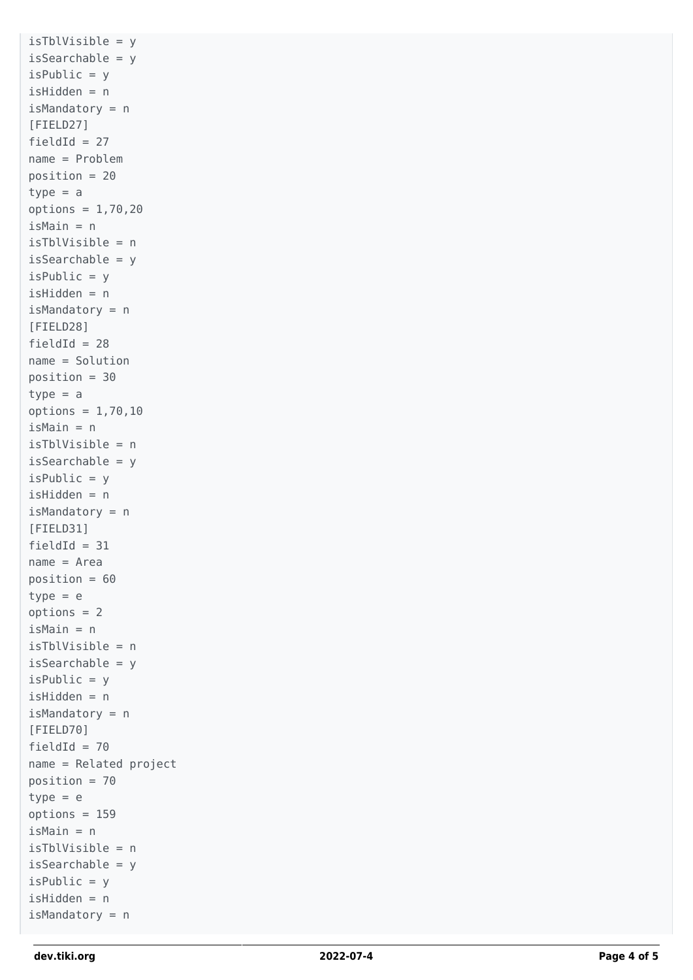```
isTblVisible = y
isSearchable = yisPublic = visHidden = n
isMandatory = n
[FIELD27]
fieldId = 27name = Problem
position = 20type = aoptions = 1,70,20isMain = n
isTblVisible = n
isSearchable = yisPublic = visHidden = n
isMandatory = n
[FIELD28]
fieldId = 28name = Solution
position = 30type = aoptions = 1,70,10isMain = n
isTblVisible = n
isSearchable = visPublic = yisHidden = n
isMandatory = n
[FIELD31]
fieldId = 31name = Area
position = 60type = eoptions = 2isMain = n
isTblVisible = n
isSearchable = yisPublic = yisHidden = n
isMandatory = n
[FIELD70]
fieldId = 70name = Related project
position = 70type = eoptions = 159
isMain = n
isTblVisible = n
isSearchable = yisPublic = visHidden = n
isMandatory = n
```